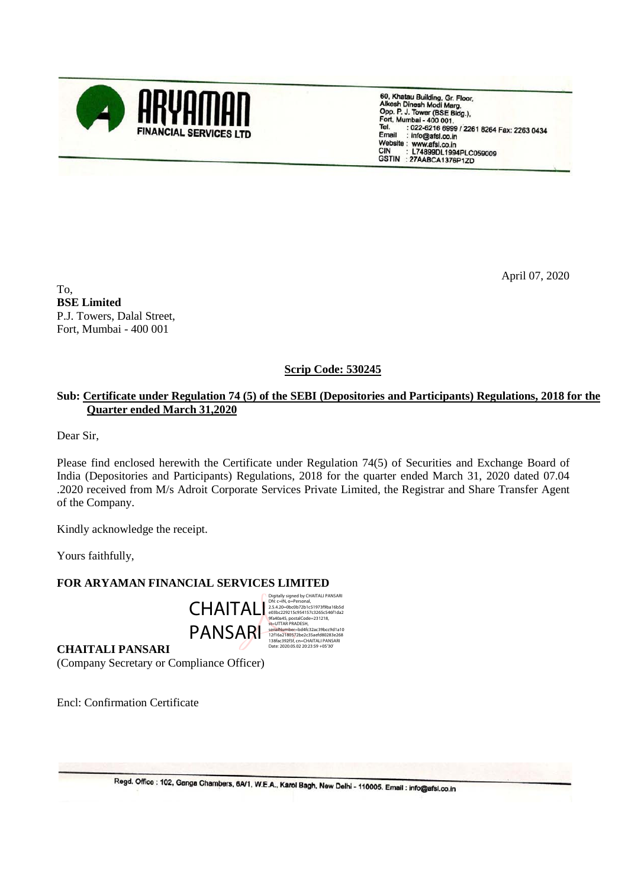

60, Khatau Building, Gr. Floor,<br>Alkesh Dinesh Modi Marg,<br>Opp. P. J. Tower (BSE Bldg.),<br>Fort, Mumbai - 400 001,<br>Tel. ... 022-6218.600 (226 : 022-6216 6999 / 2261 8264 Fax: 2263 0434 Tel. Email : info@afsl.co.in Website: www.afsl.co.in<br>CIN : L74899DL1994PLC059009 GSTIN : 27AABCA1376P1ZD

April 07, 2020

To, **BSE Limited** P.J. Towers, Dalal Street, Fort, Mumbai - 400 001

## **Scrip Code: 530245**

## **Sub: Certificate under Regulation 74 (5) of the SEBI (Depositories and Participants) Regulations, 2018 for the Quarter ended March 31,2020**

Dear Sir,

Please find enclosed herewith the Certificate under Regulation 74(5) of Securities and Exchange Board of India (Depositories and Participants) Regulations, 2018 for the quarter ended March 31, 2020 dated 07.04 .2020 received from M/s Adroit Corporate Services Private Limited, the Registrar and Share Transfer Agent of the Company.

Kindly acknowledge the receipt.

Yours faithfully,

## **FOR ARYAMAN FINANCIAL SERVICES LIMITED**



DN: <= IN, o=Personal,<br>2.5.4.20=Obc0b72b1c51973f9ba16b5d<br>e03bc229215c954157c3265c546f1da2<br>9fa40a45, postalCode=231218,<br>st=UTTAR PRADESH,<br>senālNumber=bd4fc32ac39bcc9d1a10<br>12f16a2180572be2c35aefd80283e268<br>Date: 2020.05.02 20

**CHAITALI PANSARI** (Company Secretary or Compliance Officer)

Encl: Confirmation Certificate